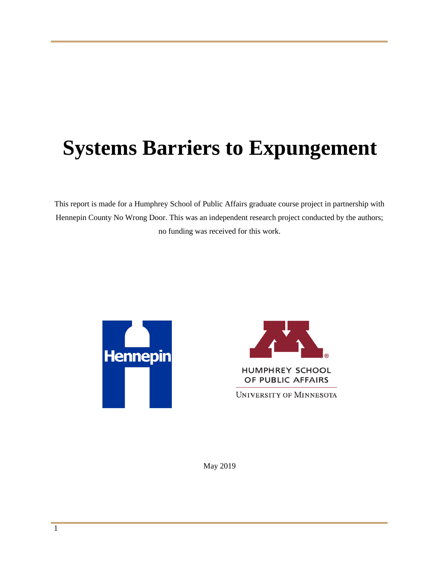# **Systems Barriers to Expungement**

This report is made for a Humphrey School of Public Affairs graduate course project in partnership with Hennepin County No Wrong Door. This was an independent research project conducted by the authors; no funding was received for this work.





**HUMPHREY SCHOOL** OF PUBLIC AFFAIRS

UNIVERSITY OF MINNESOTA

May 2019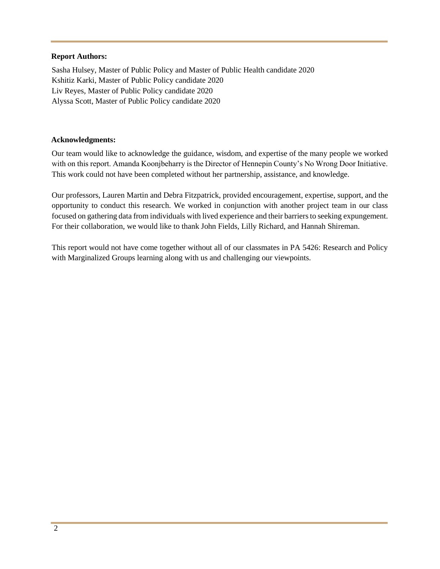#### **Report Authors:**

Sasha Hulsey, Master of Public Policy and Master of Public Health candidate 2020 Kshitiz Karki, Master of Public Policy candidate 2020 Liv Reyes, Master of Public Policy candidate 2020 Alyssa Scott, Master of Public Policy candidate 2020

#### **Acknowledgments:**

Our team would like to acknowledge the guidance, wisdom, and expertise of the many people we worked with on this report. Amanda Koonjbeharry is the Director of Hennepin County's No Wrong Door Initiative. This work could not have been completed without her partnership, assistance, and knowledge.

Our professors, Lauren Martin and Debra Fitzpatrick, provided encouragement, expertise, support, and the opportunity to conduct this research. We worked in conjunction with another project team in our class focused on gathering data from individuals with lived experience and their barriers to seeking expungement. For their collaboration, we would like to thank John Fields, Lilly Richard, and Hannah Shireman.

This report would not have come together without all of our classmates in PA 5426: Research and Policy with Marginalized Groups learning along with us and challenging our viewpoints.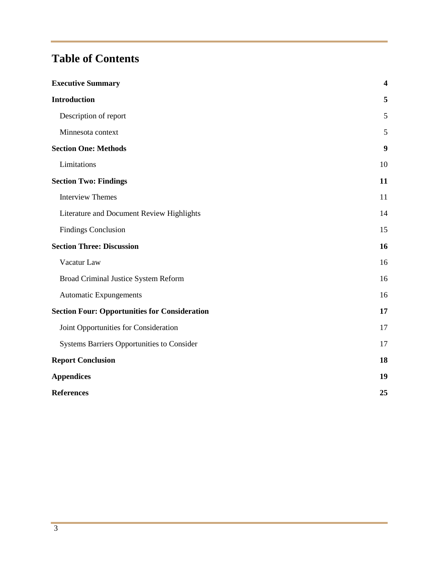# **Table of Contents**

| <b>Executive Summary</b>                             | $\overline{\mathbf{4}}$ |
|------------------------------------------------------|-------------------------|
| <b>Introduction</b>                                  | 5                       |
| Description of report                                | 5                       |
| Minnesota context                                    | 5                       |
| <b>Section One: Methods</b>                          | 9                       |
| Limitations                                          | 10                      |
| <b>Section Two: Findings</b>                         | 11                      |
| <b>Interview Themes</b>                              | 11                      |
| Literature and Document Review Highlights            | 14                      |
| <b>Findings Conclusion</b>                           | 15                      |
| <b>Section Three: Discussion</b>                     | 16                      |
| Vacatur Law                                          | 16                      |
| Broad Criminal Justice System Reform                 | 16                      |
| <b>Automatic Expungements</b>                        | 16                      |
| <b>Section Four: Opportunities for Consideration</b> | 17                      |
| Joint Opportunities for Consideration                | 17                      |
| Systems Barriers Opportunities to Consider           | 17                      |
| <b>Report Conclusion</b>                             | 18                      |
| <b>Appendices</b>                                    | 19                      |
| <b>References</b>                                    | 25                      |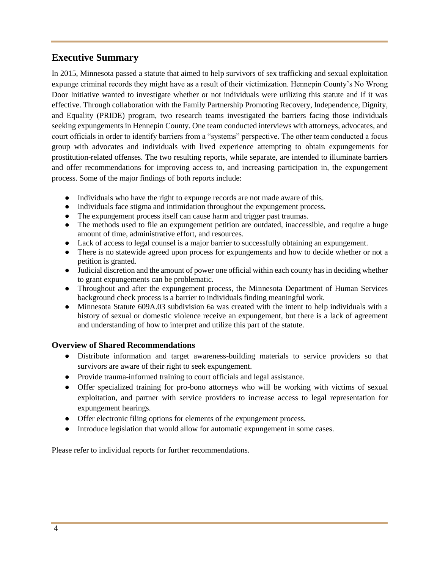# <span id="page-3-0"></span>**Executive Summary**

In 2015, Minnesota passed a statute that aimed to help survivors of sex trafficking and sexual exploitation expunge criminal records they might have as a result of their victimization. Hennepin County's No Wrong Door Initiative wanted to investigate whether or not individuals were utilizing this statute and if it was effective. Through collaboration with the Family Partnership Promoting Recovery, Independence, Dignity, and Equality (PRIDE) program, two research teams investigated the barriers facing those individuals seeking expungements in Hennepin County. One team conducted interviews with attorneys, advocates, and court officials in order to identify barriers from a "systems" perspective. The other team conducted a focus group with advocates and individuals with lived experience attempting to obtain expungements for prostitution-related offenses. The two resulting reports, while separate, are intended to illuminate barriers and offer recommendations for improving access to, and increasing participation in, the expungement process. Some of the major findings of both reports include:

- Individuals who have the right to expunge records are not made aware of this.
- Individuals face stigma and intimidation throughout the expungement process.
- The expungement process itself can cause harm and trigger past traumas.
- The methods used to file an expungement petition are outdated, inaccessible, and require a huge amount of time, administrative effort, and resources.
- Lack of access to legal counsel is a major barrier to successfully obtaining an expungement.
- There is no statewide agreed upon process for expungements and how to decide whether or not a petition is granted.
- Judicial discretion and the amount of power one official within each county has in deciding whether to grant expungements can be problematic.
- Throughout and after the expungement process, the Minnesota Department of Human Services background check process is a barrier to individuals finding meaningful work.
- Minnesota Statute 609A.03 subdivision 6a was created with the intent to help individuals with a [history of sexual or domestic violence receive an expungement, but there is a lack of agreement](#page-12-0)  [and understanding of how to interpret and utilize this part of the statute.](#page-12-0)

#### **Overview of Shared Recommendations**

- Distribute information and target awareness-building materials to service providers so that survivors are aware of their right to seek expungement.
- Provide trauma-informed training to court officials and legal assistance.
- Offer specialized training for pro-bono attorneys who will be working with victims of sexual exploitation, and partner with service providers to increase access to legal representation for expungement hearings.
- Offer electronic filing options for elements of the expungement process.
- Introduce legislation that would allow for automatic expungement in some cases.

Please refer to individual reports for further recommendations.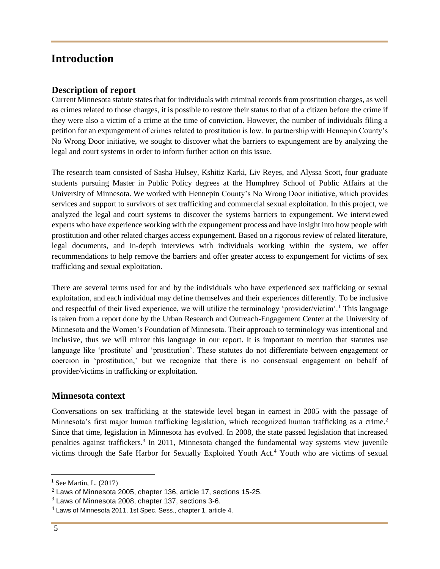# <span id="page-4-1"></span><span id="page-4-0"></span>**Introduction**

#### **Description of report**

Current Minnesota statute states that for individuals with criminal records from prostitution charges, as well as crimes related to those charges, it is possible to restore their status to that of a citizen before the crime if they were also a victim of a crime at the time of conviction. However, the number of individuals filing a petition for an expungement of crimes related to prostitution is low. In partnership with Hennepin County's No Wrong Door initiative, we sought to discover what the barriers to expungement are by analyzing the legal and court systems in order to inform further action on this issue.

The research team consisted of Sasha Hulsey, Kshitiz Karki, Liv Reyes, and Alyssa Scott, four graduate students pursuing Master in Public Policy degrees at the Humphrey School of Public Affairs at the University of Minnesota. We worked with Hennepin County's No Wrong Door initiative, which provides services and support to survivors of sex trafficking and commercial sexual exploitation. In this project, we analyzed the legal and court systems to discover the systems barriers to expungement. We interviewed experts who have experience working with the expungement process and have insight into how people with prostitution and other related charges access expungement. Based on a rigorous review of related literature, legal documents, and in-depth interviews with individuals working within the system, we offer recommendations to help remove the barriers and offer greater access to expungement for victims of sex trafficking and sexual exploitation.

There are several terms used for and by the individuals who have experienced sex trafficking or sexual exploitation, and each individual may define themselves and their experiences differently. To be inclusive and respectful of their lived experience, we will utilize the terminology 'provider/victim'.<sup>1</sup> This language is taken from a report done by the Urban Research and Outreach-Engagement Center at the University of Minnesota and the Women's Foundation of Minnesota. Their approach to terminology was intentional and inclusive, thus we will mirror this language in our report. It is important to mention that statutes use language like 'prostitute' and 'prostitution'. These statutes do not differentiate between engagement or coercion in 'prostitution,' but we recognize that there is no consensual engagement on behalf of provider/victims in trafficking or exploitation.

#### <span id="page-4-2"></span>**Minnesota context**

Conversations on sex trafficking at the statewide level began in earnest in 2005 with the passage of Minnesota's first major human trafficking legislation, which recognized human trafficking as a crime.<sup>2</sup> Since that time, legislation in Minnesota has evolved. In 2008, the state passed legislation that increased penalties against traffickers.<sup>3</sup> In 2011, Minnesota changed the fundamental way systems view juvenile victims through the Safe Harbor for Sexually Exploited Youth Act.<sup>4</sup> Youth who are victims of sexual

 $<sup>1</sup>$  See Martin, L. (2017)</sup>

<sup>2</sup> Laws of Minnesota 2005, chapter 136, article 17, sections 15-25.

 $3$  Laws of Minnesota 2008, chapter 137, sections 3-6.

 $<sup>4</sup>$  Laws of Minnesota 2011, 1st Spec. Sess., chapter 1, article 4.</sup>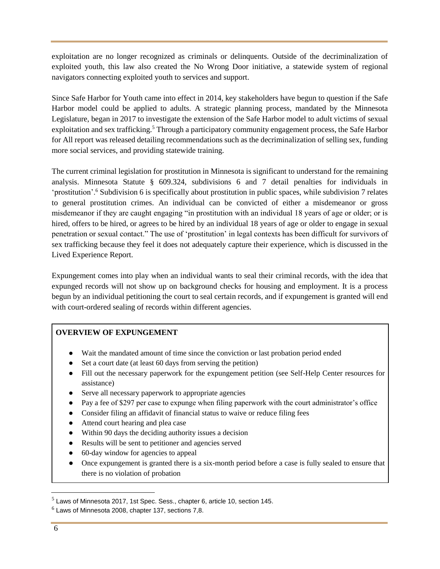exploitation are no longer recognized as criminals or delinquents. Outside of the decriminalization of exploited youth, this law also created the No Wrong Door initiative, a statewide system of regional navigators connecting exploited youth to services and support.

Since Safe Harbor for Youth came into effect in 2014, key stakeholders have begun to question if the Safe Harbor model could be applied to adults. A strategic planning process, mandated by the Minnesota Legislature, began in 2017 to investigate the extension of the Safe Harbor model to adult victims of sexual exploitation and sex trafficking.<sup>5</sup> Through a participatory community engagement process, the Safe Harbor for All report was released detailing recommendations such as the decriminalization of selling sex, funding more social services, and providing statewide training.

The current criminal legislation for prostitution in Minnesota is significant to understand for the remaining analysis. Minnesota Statute § 609.324, subdivisions 6 and 7 detail penalties for individuals in 'prostitution'.<sup>6</sup> Subdivision 6 is specifically about prostitution in public spaces, while subdivision 7 relates to general prostitution crimes. An individual can be convicted of either a misdemeanor or gross misdemeanor if they are caught engaging "in prostitution with an individual 18 years of age or older; or is hired, offers to be hired, or agrees to be hired by an individual 18 years of age or older to engage in sexual penetration or sexual contact." The use of 'prostitution' in legal contexts has been difficult for survivors of sex trafficking because they feel it does not adequately capture their experience, which is discussed in the Lived Experience Report.

Expungement comes into play when an individual wants to seal their criminal records, with the idea that expunged records will not show up on background checks for housing and employment. It is a process begun by an individual petitioning the court to seal certain records, and if expungement is granted will end with court-ordered sealing of records within different agencies.

#### **OVERVIEW OF EXPUNGEMENT**

- Wait the mandated amount of time since the conviction or last probation period ended
- Set a court date (at least 60 days from serving the petition)
- Fill out the necessary paperwork for the expungement petition (see Self-Help Center resources for assistance)
- Serve all necessary paperwork to appropriate agencies
- Pay a fee of \$297 per case to expunge when filing paperwork with the court administrator's office
- Consider filing an affidavit of financial status to waive or reduce filing fees
- Attend court hearing and plea case
- Within 90 days the deciding authority issues a decision
- Results will be sent to petitioner and agencies served
- 60-day window for agencies to appeal
- Once expungement is granted there is a six-month period before a case is fully sealed to ensure that there is no violation of probation

 $<sup>5</sup>$  Laws of Minnesota 2017, 1st Spec. Sess., chapter 6, article 10, section 145.</sup>

 $6$  Laws of Minnesota 2008, chapter 137, sections 7,8.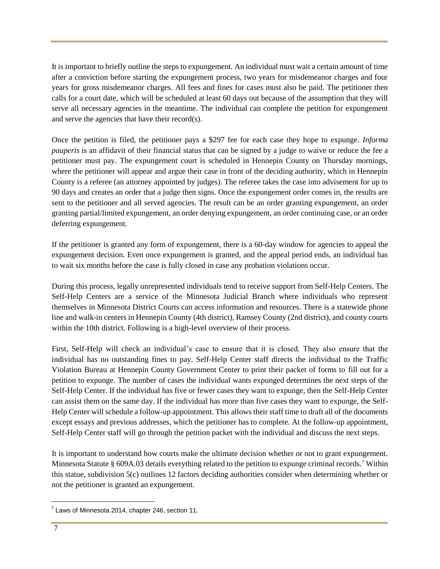It is important to briefly outline the steps to expungement. An individual must wait a certain amount of time after a conviction before starting the expungement process, two years for misdemeanor charges and four years for gross misdemeanor charges. All fees and fines for cases must also be paid. The petitioner then calls for a court date, which will be scheduled at least 60 days out because of the assumption that they will serve all necessary agencies in the meantime. The individual can complete the petition for expungement and serve the agencies that have their record(s).

Once the petition is filed, the petitioner pays a \$297 fee for each case they hope to expunge. *Informa pauperis* is an affidavit of their financial status that can be signed by a judge to waive or reduce the fee a petitioner must pay. The expungement court is scheduled in Hennepin County on Thursday mornings, where the petitioner will appear and argue their case in front of the deciding authority, which in Hennepin County is a referee (an attorney appointed by judges). The referee takes the case into advisement for up to 90 days and creates an order that a judge then signs. Once the expungement order comes in, the results are sent to the petitioner and all served agencies. The result can be an order granting expungement, an order granting partial/limited expungement, an order denying expungement, an order continuing case, or an order deferring expungement.

If the petitioner is granted any form of expungement, there is a 60-day window for agencies to appeal the expungement decision. Even once expungement is granted, and the appeal period ends, an individual has to wait six months before the case is fully closed in case any probation violations occur.

During this process, legally unrepresented individuals tend to receive support from Self-Help Centers. The Self-Help Centers are a service of the Minnesota Judicial Branch where individuals who represent themselves in Minnesota District Courts can access information and resources. There is a statewide phone line and walk-in centers in Hennepin County (4th district), Ramsey County (2nd district), and county courts within the 10th district. Following is a high-level overview of their process.

First, Self-Help will check an individual's case to ensure that it is closed. They also ensure that the individual has no outstanding fines to pay. Self-Help Center staff directs the individual to the Traffic Violation Bureau at Hennepin County Government Center to print their packet of forms to fill out for a petition to expunge. The number of cases the individual wants expunged determines the next steps of the Self-Help Center. If the individual has five or fewer cases they want to expunge, then the Self-Help Center can assist them on the same day. If the individual has more than five cases they want to expunge, the Self-Help Center will schedule a follow-up appointment. This allows their staff time to draft all of the documents except essays and previous addresses, which the petitioner has to complete. At the follow-up appointment, Self-Help Center staff will go through the petition packet with the individual and discuss the next steps.

It is important to understand how courts make the ultimate decision whether or not to grant expungement. Minnesota Statute § 609A.03 details everything related to the petition to expunge criminal records.<sup>7</sup> Within this statue, subdivision 5(c) outlines 12 factors deciding authorities consider when determining whether or not the petitioner is granted an expungement.

 $^7$  Laws of Minnesota 2014, chapter 246, section 11.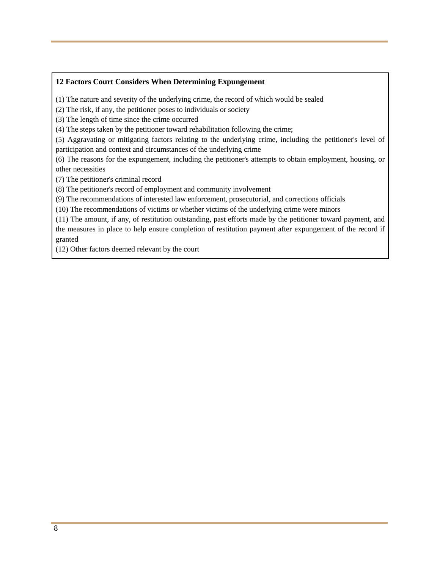#### **12 Factors Court Considers When Determining Expungement**

(1) The nature and severity of the underlying crime, the record of which would be sealed

(2) The risk, if any, the petitioner poses to individuals or society

(3) The length of time since the crime occurred

(4) The steps taken by the petitioner toward rehabilitation following the crime;

(5) Aggravating or mitigating factors relating to the underlying crime, including the petitioner's level of participation and context and circumstances of the underlying crime

(6) The reasons for the expungement, including the petitioner's attempts to obtain employment, housing, or other necessities

(7) The petitioner's criminal record

(8) The petitioner's record of employment and community involvement

(9) The recommendations of interested law enforcement, prosecutorial, and corrections officials

(10) The recommendations of victims or whether victims of the underlying crime were minors

(11) The amount, if any, of restitution outstanding, past efforts made by the petitioner toward payment, and the measures in place to help ensure completion of restitution payment after expungement of the record if granted

(12) Other factors deemed relevant by the court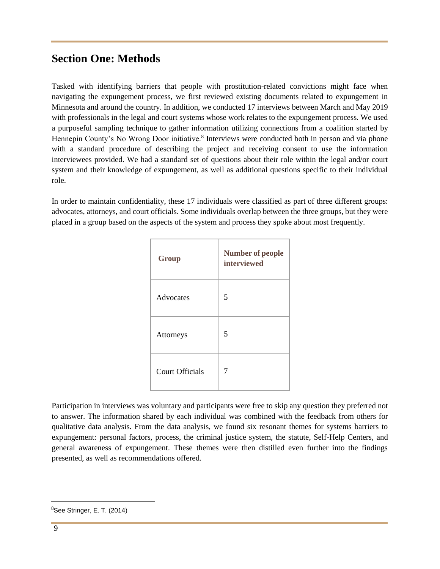# <span id="page-8-0"></span>**Section One: Methods**

Tasked with identifying barriers that people with prostitution-related convictions might face when navigating the expungement process, we first reviewed existing documents related to expungement in Minnesota and around the country. In addition, we conducted 17 interviews between March and May 2019 with professionals in the legal and court systems whose work relates to the expungement process. We used a purposeful sampling technique to gather information utilizing connections from a coalition started by Hennepin County's No Wrong Door initiative.<sup>8</sup> Interviews were conducted both in person and via phone with a standard procedure of describing the project and receiving consent to use the information interviewees provided. We had a standard set of questions about their role within the legal and/or court system and their knowledge of expungement, as well as additional questions specific to their individual role.

In order to maintain confidentiality, these 17 individuals were classified as part of three different groups: advocates, attorneys, and court officials. Some individuals overlap between the three groups, but they were placed in a group based on the aspects of the system and process they spoke about most frequently.

| Group                  | <b>Number of people</b><br>interviewed |
|------------------------|----------------------------------------|
| Advocates              | 5                                      |
| Attorneys              | 5                                      |
| <b>Court Officials</b> | 7                                      |

Participation in interviews was voluntary and participants were free to skip any question they preferred not to answer. The information shared by each individual was combined with the feedback from others for qualitative data analysis. From the data analysis, we found six resonant themes for systems barriers to expungement: personal factors, process, the criminal justice system, the statute, Self-Help Centers, and general awareness of expungement. These themes were then distilled even further into the findings presented, as well as recommendations offered.

 $8$ See Stringer, E. T. (2014)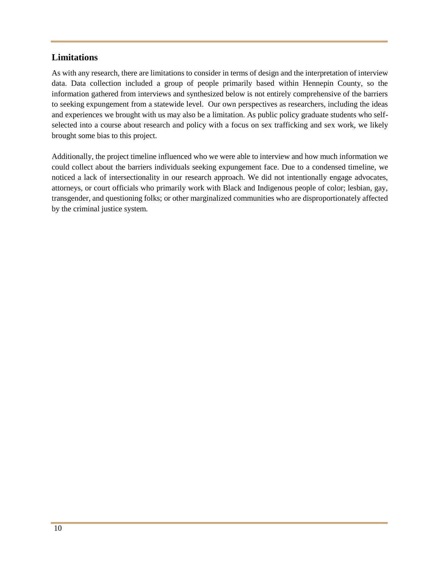#### <span id="page-9-0"></span>**Limitations**

As with any research, there are limitations to consider in terms of design and the interpretation of interview data. Data collection included a group of people primarily based within Hennepin County, so the information gathered from interviews and synthesized below is not entirely comprehensive of the barriers to seeking expungement from a statewide level. Our own perspectives as researchers, including the ideas and experiences we brought with us may also be a limitation. As public policy graduate students who selfselected into a course about research and policy with a focus on sex trafficking and sex work, we likely brought some bias to this project.

Additionally, the project timeline influenced who we were able to interview and how much information we could collect about the barriers individuals seeking expungement face. Due to a condensed timeline, we noticed a lack of intersectionality in our research approach. We did not intentionally engage advocates, attorneys, or court officials who primarily work with Black and Indigenous people of color; lesbian, gay, transgender, and questioning folks; or other marginalized communities who are disproportionately affected by the criminal justice system.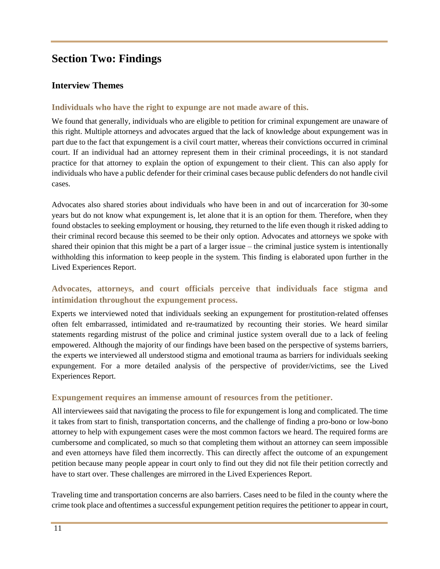# <span id="page-10-0"></span>**Section Two: Findings**

#### <span id="page-10-1"></span>**Interview Themes**

#### **Individuals who have the right to expunge are not made aware of this.**

We found that generally, individuals who are eligible to petition for criminal expungement are unaware of this right. Multiple attorneys and advocates argued that the lack of knowledge about expungement was in part due to the fact that expungement is a civil court matter, whereas their convictions occurred in criminal court. If an individual had an attorney represent them in their criminal proceedings, it is not standard practice for that attorney to explain the option of expungement to their client. This can also apply for individuals who have a public defender for their criminal cases because public defenders do not handle civil cases.

Advocates also shared stories about individuals who have been in and out of incarceration for 30-some years but do not know what expungement is, let alone that it is an option for them. Therefore, when they found obstacles to seeking employment or housing, they returned to the life even though it risked adding to their criminal record because this seemed to be their only option. Advocates and attorneys we spoke with shared their opinion that this might be a part of a larger issue – the criminal justice system is intentionally withholding this information to keep people in the system. This finding is elaborated upon further in the Lived Experiences Report.

## **Advocates, attorneys, and court officials perceive that individuals face stigma and intimidation throughout the expungement process.**

Experts we interviewed noted that individuals seeking an expungement for prostitution-related offenses often felt embarrassed, intimidated and re-traumatized by recounting their stories. We heard similar statements regarding mistrust of the police and criminal justice system overall due to a lack of feeling empowered. Although the majority of our findings have been based on the perspective of systems barriers, the experts we interviewed all understood stigma and emotional trauma as barriers for individuals seeking expungement. For a more detailed analysis of the perspective of provider/victims, see the Lived Experiences Report.

#### **Expungement requires an immense amount of resources from the petitioner.**

All interviewees said that navigating the process to file for expungement is long and complicated. The time it takes from start to finish, transportation concerns, and the challenge of finding a pro-bono or low-bono attorney to help with expungement cases were the most common factors we heard. The required forms are cumbersome and complicated, so much so that completing them without an attorney can seem impossible and even attorneys have filed them incorrectly. This can directly affect the outcome of an expungement petition because many people appear in court only to find out they did not file their petition correctly and have to start over. These challenges are mirrored in the Lived Experiences Report.

Traveling time and transportation concerns are also barriers. Cases need to be filed in the county where the crime took place and oftentimes a successful expungement petition requires the petitioner to appear in court,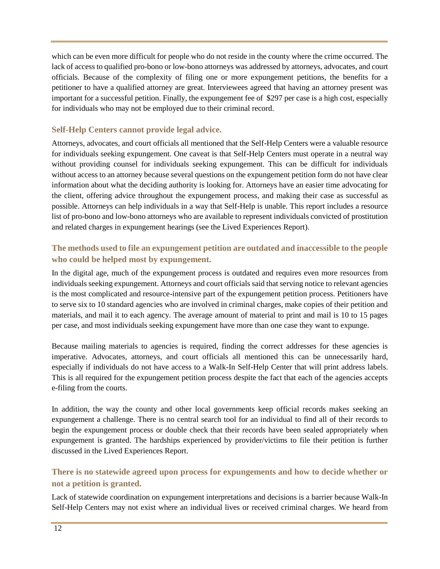which can be even more difficult for people who do not reside in the county where the crime occurred. The lack of access to qualified pro-bono or low-bono attorneys was addressed by attorneys, advocates, and court officials. Because of the complexity of filing one or more expungement petitions, the benefits for a petitioner to have a qualified attorney are great. Interviewees agreed that having an attorney present was important for a successful petition. Finally, the expungement fee of \$297 per case is a high cost, especially for individuals who may not be employed due to their criminal record.

#### **Self-Help Centers cannot provide legal advice.**

Attorneys, advocates, and court officials all mentioned that the Self-Help Centers were a valuable resource for individuals seeking expungement. One caveat is that Self-Help Centers must operate in a neutral way without providing counsel for individuals seeking expungement. This can be difficult for individuals without access to an attorney because several questions on the expungement petition form do not have clear information about what the deciding authority is looking for. Attorneys have an easier time advocating for the client, offering advice throughout the expungement process, and making their case as successful as possible. Attorneys can help individuals in a way that Self-Help is unable. This report includes a resource list of pro-bono and low-bono attorneys who are available to represent individuals convicted of prostitution and related charges in expungement hearings (see the Lived Experiences Report).

#### **The methods used to file an expungement petition are outdated and inaccessible to the people who could be helped most by expungement.**

In the digital age, much of the expungement process is outdated and requires even more resources from individuals seeking expungement. Attorneys and court officials said that serving notice to relevant agencies is the most complicated and resource-intensive part of the expungement petition process. Petitioners have to serve six to 10 standard agencies who are involved in criminal charges, make copies of their petition and materials, and mail it to each agency. The average amount of material to print and mail is 10 to 15 pages per case, and most individuals seeking expungement have more than one case they want to expunge.

Because mailing materials to agencies is required, finding the correct addresses for these agencies is imperative. Advocates, attorneys, and court officials all mentioned this can be unnecessarily hard, especially if individuals do not have access to a Walk-In Self-Help Center that will print address labels. This is all required for the expungement petition process despite the fact that each of the agencies accepts e-filing from the courts.

In addition, the way the county and other local governments keep official records makes seeking an expungement a challenge. There is no central search tool for an individual to find all of their records to begin the expungement process or double check that their records have been sealed appropriately when expungement is granted. The hardships experienced by provider/victims to file their petition is further discussed in the Lived Experiences Report.

# **There is no statewide agreed upon process for expungements and how to decide whether or not a petition is granted.**

Lack of statewide coordination on expungement interpretations and decisions is a barrier because Walk-In Self-Help Centers may not exist where an individual lives or received criminal charges. We heard from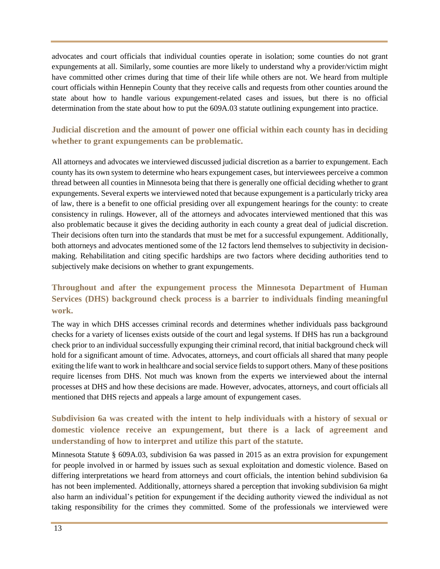<span id="page-12-0"></span>advocates and court officials that individual counties operate in isolation; some counties do not grant expungements at all. Similarly, some counties are more likely to understand why a provider/victim might have committed other crimes during that time of their life while others are not. We heard from multiple court officials within Hennepin County that they receive calls and requests from other counties around the state about how to handle various expungement-related cases and issues, but there is no official determination from the state about how to put the 609A.03 statute outlining expungement into practice.

#### **Judicial discretion and the amount of power one official within each county has in deciding whether to grant expungements can be problematic.**

All attorneys and advocates we interviewed discussed judicial discretion as a barrier to expungement. Each county has its own system to determine who hears expungement cases, but interviewees perceive a common thread between all counties in Minnesota being that there is generally one official deciding whether to grant expungements. Several experts we interviewed noted that because expungement is a particularly tricky area of law, there is a benefit to one official presiding over all expungement hearings for the county: to create consistency in rulings. However, all of the attorneys and advocates interviewed mentioned that this was also problematic because it gives the deciding authority in each county a great deal of judicial discretion. Their decisions often turn into the standards that must be met for a successful expungement. Additionally, both attorneys and advocates mentioned some of the 12 factors lend themselves to subjectivity in decisionmaking. Rehabilitation and citing specific hardships are two factors where deciding authorities tend to subjectively make decisions on whether to grant expungements.

## **Throughout and after the expungement process the Minnesota Department of Human Services (DHS) background check process is a barrier to individuals finding meaningful work.**

The way in which DHS accesses criminal records and determines whether individuals pass background checks for a variety of licenses exists outside of the court and legal systems. If DHS has run a background check prior to an individual successfully expunging their criminal record, that initial background check will hold for a significant amount of time. Advocates, attorneys, and court officials all shared that many people exiting the life want to work in healthcare and social service fields to support others. Many of these positions require licenses from DHS. Not much was known from the experts we interviewed about the internal processes at DHS and how these decisions are made. However, advocates, attorneys, and court officials all mentioned that DHS rejects and appeals a large amount of expungement cases.

## **Subdivision 6a was created with the intent to help individuals with a history of sexual or domestic violence receive an expungement, but there is a lack of agreement and understanding of how to interpret and utilize this part of the statute.**

Minnesota Statute § 609A.03, subdivision 6a was passed in 2015 as an extra provision for expungement for people involved in or harmed by issues such as sexual exploitation and domestic violence. Based on differing interpretations we heard from attorneys and court officials, the intention behind subdivision 6a has not been implemented. Additionally, attorneys shared a perception that invoking subdivision 6a might also harm an individual's petition for expungement if the deciding authority viewed the individual as not taking responsibility for the crimes they committed. Some of the professionals we interviewed were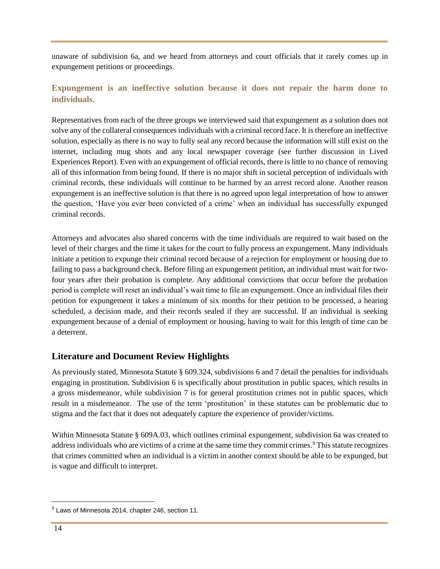unaware of subdivision 6a, and we heard from attorneys and court officials that it rarely comes up in expungement petitions or proceedings.

## **Expungement is an ineffective solution because it does not repair the harm done to individuals.**

Representatives from each of the three groups we interviewed said that expungement as a solution does not solve any of the collateral consequences individuals with a criminal record face. It is therefore an ineffective solution, especially as there is no way to fully seal any record because the information will still exist on the internet, including mug shots and any local newspaper coverage (see further discussion in Lived Experiences Report). Even with an expungement of official records, there is little to no chance of removing all of this information from being found. If there is no major shift in societal perception of individuals with criminal records, these individuals will continue to be harmed by an arrest record alone. Another reason expungement is an ineffective solution is that there is no agreed upon legal interpretation of how to answer the question, 'Have you ever been convicted of a crime' when an individual has successfully expunged criminal records.

Attorneys and advocates also shared concerns with the time individuals are required to wait based on the level of their charges and the time it takes for the court to fully process an expungement. Many individuals initiate a petition to expunge their criminal record because of a rejection for employment or housing due to failing to pass a background check. Before filing an expungement petition, an individual must wait for twofour years after their probation is complete. Any additional convictions that occur before the probation period is complete will reset an individual's wait time to file an expungement. Once an individual files their petition for expungement it takes a minimum of six months for their petition to be processed, a hearing scheduled, a decision made, and their records sealed if they are successful. If an individual is seeking expungement because of a denial of employment or housing, having to wait for this length of time can be a deterrent.

## <span id="page-13-0"></span>**Literature and Document Review Highlights**

As previously stated, Minnesota Statute § 609.324, subdivisions 6 and 7 detail the penalties for individuals engaging in prostitution. Subdivision 6 is specifically about prostitution in public spaces, which results in a gross misdemeanor, while subdivision 7 is for general prostitution crimes not in public spaces, which result in a misdemeanor. The use of the term 'prostitution' in these statutes can be problematic due to stigma and the fact that it does not adequately capture the experience of provider/victims.

Within Minnesota Statute § 609A.03, which outlines criminal expungement, subdivision 6a was created to address individuals who are victims of a crime at the same time they commit crimes.<sup>9</sup> This statute recognizes that crimes committed when an individual is a victim in another context should be able to be expunged, but is vague and difficult to interpret.

 $^{9}$  Laws of Minnesota 2014, chapter 246, section 11.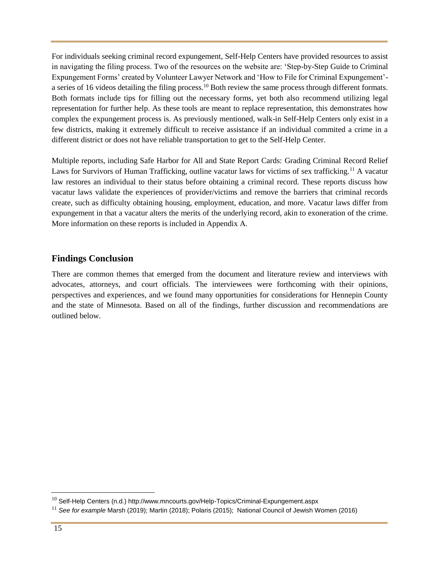For individuals seeking criminal record expungement, Self-Help Centers have provided resources to assist in navigating the filing process. Two of the resources on the website are: 'Step-by-Step Guide to Criminal Expungement Forms' created by Volunteer Lawyer Network and 'How to File for Criminal Expungement' a series of 16 videos detailing the filing process.<sup>10</sup> Both review the same process through different formats. Both formats include tips for filling out the necessary forms, yet both also recommend utilizing legal representation for further help. As these tools are meant to replace representation, this demonstrates how complex the expungement process is. As previously mentioned, walk-in Self-Help Centers only exist in a few districts, making it extremely difficult to receive assistance if an individual commited a crime in a different district or does not have reliable transportation to get to the Self-Help Center.

Multiple reports, including Safe Harbor for All and State Report Cards: Grading Criminal Record Relief Laws for Survivors of Human Trafficking, outline vacatur laws for victims of sex trafficking.<sup>11</sup> A vacatur law restores an individual to their status before obtaining a criminal record. These reports discuss how vacatur laws validate the experiences of provider/victims and remove the barriers that criminal records create, such as difficulty obtaining housing, employment, education, and more. Vacatur laws differ from expungement in that a vacatur alters the merits of the underlying record, akin to exoneration of the crime. More information on these reports is included in Appendix A.

## <span id="page-14-0"></span>**Findings Conclusion**

There are common themes that emerged from the document and literature review and interviews with advocates, attorneys, and court officials. The interviewees were forthcoming with their opinions, perspectives and experiences, and we found many opportunities for considerations for Hennepin County and the state of Minnesota. Based on all of the findings, further discussion and recommendations are outlined below.

 $10$  Self-Help Centers (n.d.) http://www.mncourts.gov/Help-Topics/Criminal-Expungement.aspx

<sup>11</sup> *See for example* Marsh (2019); Martin (2018); Polaris (2015); National Council of Jewish Women (2016)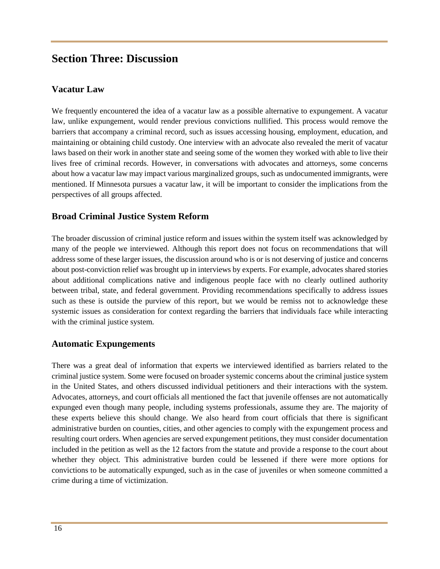# <span id="page-15-0"></span>**Section Three: Discussion**

#### <span id="page-15-1"></span>**Vacatur Law**

We frequently encountered the idea of a vacatur law as a possible alternative to expungement. A vacatur law, unlike expungement, would render previous convictions nullified. This process would remove the barriers that accompany a criminal record, such as issues accessing housing, employment, education, and maintaining or obtaining child custody. One interview with an advocate also revealed the merit of vacatur laws based on their work in another state and seeing some of the women they worked with able to live their lives free of criminal records. However, in conversations with advocates and attorneys, some concerns about how a vacatur law may impact various marginalized groups, such as undocumented immigrants, were mentioned. If Minnesota pursues a vacatur law, it will be important to consider the implications from the perspectives of all groups affected.

#### <span id="page-15-2"></span>**Broad Criminal Justice System Reform**

The broader discussion of criminal justice reform and issues within the system itself was acknowledged by many of the people we interviewed. Although this report does not focus on recommendations that will address some of these larger issues, the discussion around who is or is not deserving of justice and concerns about post-conviction relief was brought up in interviews by experts. For example, advocates shared stories about additional complications native and indigenous people face with no clearly outlined authority between tribal, state, and federal government. Providing recommendations specifically to address issues such as these is outside the purview of this report, but we would be remiss not to acknowledge these systemic issues as consideration for context regarding the barriers that individuals face while interacting with the criminal justice system.

#### <span id="page-15-3"></span>**Automatic Expungements**

There was a great deal of information that experts we interviewed identified as barriers related to the criminal justice system. Some were focused on broader systemic concerns about the criminal justice system in the United States, and others discussed individual petitioners and their interactions with the system. Advocates, attorneys, and court officials all mentioned the fact that juvenile offenses are not automatically expunged even though many people, including systems professionals, assume they are. The majority of these experts believe this should change. We also heard from court officials that there is significant administrative burden on counties, cities, and other agencies to comply with the expungement process and resulting court orders. When agencies are served expungement petitions, they must consider documentation included in the petition as well as the 12 factors from the statute and provide a response to the court about whether they object. This administrative burden could be lessened if there were more options for convictions to be automatically expunged, such as in the case of juveniles or when someone committed a crime during a time of victimization.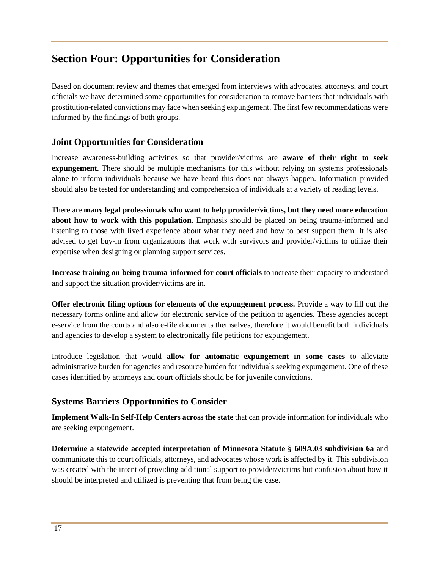# <span id="page-16-0"></span>**Section Four: Opportunities for Consideration**

Based on document review and themes that emerged from interviews with advocates, attorneys, and court officials we have determined some opportunities for consideration to remove barriers that individuals with prostitution-related convictions may face when seeking expungement. The first few recommendations were informed by the findings of both groups.

## <span id="page-16-1"></span>**Joint Opportunities for Consideration**

Increase awareness-building activities so that provider/victims are **aware of their right to seek expungement.** There should be multiple mechanisms for this without relying on systems professionals alone to inform individuals because we have heard this does not always happen. Information provided should also be tested for understanding and comprehension of individuals at a variety of reading levels.

There are **many legal professionals who want to help provider/victims, but they need more education about how to work with this population.** Emphasis should be placed on being trauma-informed and listening to those with lived experience about what they need and how to best support them. It is also advised to get buy-in from organizations that work with survivors and provider/victims to utilize their expertise when designing or planning support services.

**Increase training on being trauma-informed for court officials** to increase their capacity to understand and support the situation provider/victims are in.

**Offer electronic filing options for elements of the expungement process.** Provide a way to fill out the necessary forms online and allow for electronic service of the petition to agencies. These agencies accept e-service from the courts and also e-file documents themselves, therefore it would benefit both individuals and agencies to develop a system to electronically file petitions for expungement.

Introduce legislation that would **allow for automatic expungement in some cases** to alleviate administrative burden for agencies and resource burden for individuals seeking expungement. One of these cases identified by attorneys and court officials should be for juvenile convictions.

## <span id="page-16-2"></span>**Systems Barriers Opportunities to Consider**

**Implement Walk-In Self-Help Centers across the state** that can provide information for individuals who are seeking expungement.

**Determine a statewide accepted interpretation of Minnesota Statute § 609A.03 subdivision 6a** and communicate this to court officials, attorneys, and advocates whose work is affected by it. This subdivision was created with the intent of providing additional support to provider/victims but confusion about how it should be interpreted and utilized is preventing that from being the case.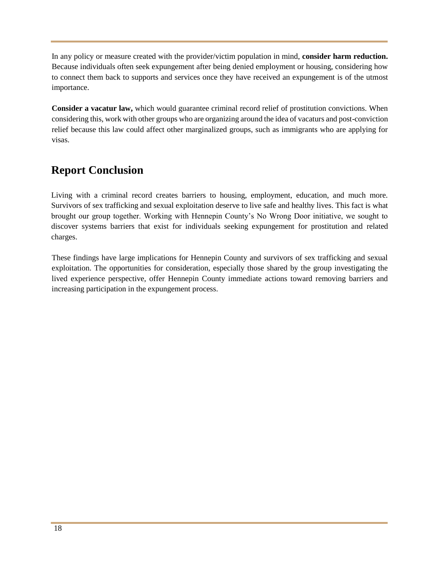In any policy or measure created with the provider/victim population in mind, **consider harm reduction.**  Because individuals often seek expungement after being denied employment or housing, considering how to connect them back to supports and services once they have received an expungement is of the utmost importance.

**Consider a vacatur law,** which would guarantee criminal record relief of prostitution convictions. When considering this, work with other groups who are organizing around the idea of vacaturs and post-conviction relief because this law could affect other marginalized groups, such as immigrants who are applying for visas.

# <span id="page-17-0"></span>**Report Conclusion**

Living with a criminal record creates barriers to housing, employment, education, and much more. Survivors of sex trafficking and sexual exploitation deserve to live safe and healthy lives. This fact is what brought our group together. Working with Hennepin County's No Wrong Door initiative, we sought to discover systems barriers that exist for individuals seeking expungement for prostitution and related charges.

These findings have large implications for Hennepin County and survivors of sex trafficking and sexual exploitation. The opportunities for consideration, especially those shared by the group investigating the lived experience perspective, offer Hennepin County immediate actions toward removing barriers and increasing participation in the expungement process.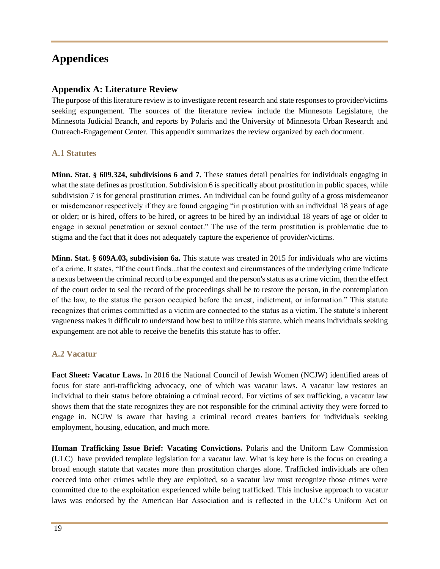# <span id="page-18-0"></span>**Appendices**

#### **Appendix A: Literature Review**

The purpose of this literature review is to investigate recent research and state responses to provider/victims seeking expungement. The sources of the literature review include the Minnesota Legislature, the Minnesota Judicial Branch, and reports by Polaris and the University of Minnesota Urban Research and Outreach-Engagement Center. This appendix summarizes the review organized by each document.

#### **A.1 Statutes**

**Minn. Stat. § 609.324, subdivisions 6 and 7.** These statues detail penalties for individuals engaging in what the state defines as prostitution. Subdivision 6 is specifically about prostitution in public spaces, while subdivision 7 is for general prostitution crimes. An individual can be found guilty of a gross misdemeanor or misdemeanor respectively if they are found engaging "in prostitution with an individual 18 years of age or older; or is hired, offers to be hired, or agrees to be hired by an individual 18 years of age or older to engage in sexual penetration or sexual contact." The use of the term prostitution is problematic due to stigma and the fact that it does not adequately capture the experience of provider/victims.

**Minn. Stat. § 609A.03, subdivision 6a.** This statute was created in 2015 for individuals who are victims of a crime. It states, "If the court finds...that the context and circumstances of the underlying crime indicate a nexus between the criminal record to be expunged and the person's status as a crime victim, then the effect of the court order to seal the record of the proceedings shall be to restore the person, in the contemplation of the law, to the status the person occupied before the arrest, indictment, or information." This statute recognizes that crimes committed as a victim are connected to the status as a victim. The statute's inherent vagueness makes it difficult to understand how best to utilize this statute, which means individuals seeking expungement are not able to receive the benefits this statute has to offer.

#### **A.2 Vacatur**

**Fact Sheet: Vacatur Laws.** In 2016 the National Council of Jewish Women (NCJW) identified areas of focus for state anti-trafficking advocacy, one of which was vacatur laws. A vacatur law restores an individual to their status before obtaining a criminal record. For victims of sex trafficking, a vacatur law shows them that the state recognizes they are not responsible for the criminal activity they were forced to engage in. NCJW is aware that having a criminal record creates barriers for individuals seeking employment, housing, education, and much more.

**Human Trafficking Issue Brief: Vacating Convictions.** Polaris and the Uniform Law Commission (ULC) have provided template legislation for a vacatur law. What is key here is the focus on creating a broad enough statute that vacates more than prostitution charges alone. Trafficked individuals are often coerced into other crimes while they are exploited, so a vacatur law must recognize those crimes were committed due to the exploitation experienced while being trafficked. This inclusive approach to vacatur laws was endorsed by the American Bar Association and is reflected in the ULC's Uniform Act on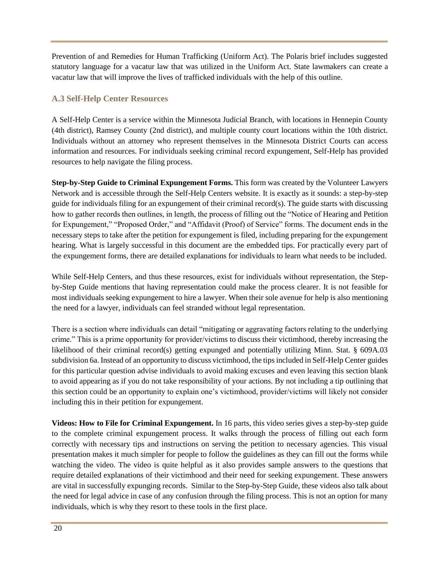Prevention of and Remedies for Human Trafficking (Uniform Act). The Polaris brief includes suggested statutory language for a vacatur law that was utilized in the Uniform Act. State lawmakers can create a vacatur law that will improve the lives of trafficked individuals with the help of this outline.

## **A.3 Self-Help Center Resources**

A Self-Help Center is a service within the Minnesota Judicial Branch, with locations in Hennepin County (4th district), Ramsey County (2nd district), and multiple county court locations within the 10th district. Individuals without an attorney who represent themselves in the Minnesota District Courts can access information and resources. For individuals seeking criminal record expungement, Self-Help has provided resources to help navigate the filing process.

**Step-by-Step Guide to Criminal Expungement Forms.** This form was created by the Volunteer Lawyers Network and is accessible through the Self-Help Centers website. It is exactly as it sounds: a step-by-step guide for individuals filing for an expungement of their criminal record(s). The guide starts with discussing how to gather records then outlines, in length, the process of filling out the "Notice of Hearing and Petition for Expungement," "Proposed Order," and "Affidavit (Proof) of Service" forms. The document ends in the necessary steps to take after the petition for expungement is filed, including preparing for the expungement hearing. What is largely successful in this document are the embedded tips. For practically every part of the expungement forms, there are detailed explanations for individuals to learn what needs to be included.

While Self-Help Centers, and thus these resources, exist for individuals without representation, the Stepby-Step Guide mentions that having representation could make the process clearer. It is not feasible for most individuals seeking expungement to hire a lawyer. When their sole avenue for help is also mentioning the need for a lawyer, individuals can feel stranded without legal representation.

There is a section where individuals can detail "mitigating or aggravating factors relating to the underlying crime." This is a prime opportunity for provider/victims to discuss their victimhood, thereby increasing the likelihood of their criminal record(s) getting expunged and potentially utilizing Minn. Stat. § 609A.03 subdivision 6a. Instead of an opportunity to discuss victimhood, the tips included in Self-Help Center guides for this particular question advise individuals to avoid making excuses and even leaving this section blank to avoid appearing as if you do not take responsibility of your actions. By not including a tip outlining that this section could be an opportunity to explain one's victimhood, provider/victims will likely not consider including this in their petition for expungement.

**Videos: How to File for Criminal Expungement.** In 16 parts, this video series gives a step-by-step guide to the complete criminal expungement process. It walks through the process of filling out each form correctly with necessary tips and instructions on serving the petition to necessary agencies. This visual presentation makes it much simpler for people to follow the guidelines as they can fill out the forms while watching the video. The video is quite helpful as it also provides sample answers to the questions that require detailed explanations of their victimhood and their need for seeking expungement. These answers are vital in successfully expunging records. Similar to the Step-by-Step Guide, these videos also talk about the need for legal advice in case of any confusion through the filing process. This is not an option for many individuals, which is why they resort to these tools in the first place.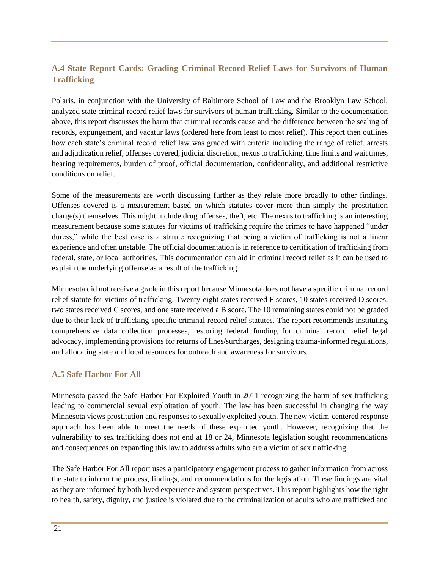## **A.4 State Report Cards: Grading Criminal Record Relief Laws for Survivors of Human Trafficking**

Polaris, in conjunction with the University of Baltimore School of Law and the Brooklyn Law School, analyzed state criminal record relief laws for survivors of human trafficking. Similar to the documentation above, this report discusses the harm that criminal records cause and the difference between the sealing of records, expungement, and vacatur laws (ordered here from least to most relief). This report then outlines how each state's criminal record relief law was graded with criteria including the range of relief, arrests and adjudication relief, offenses covered, judicial discretion, nexus to trafficking, time limits and wait times, hearing requirements, burden of proof, official documentation, confidentiality, and additional restrictive conditions on relief.

Some of the measurements are worth discussing further as they relate more broadly to other findings. Offenses covered is a measurement based on which statutes cover more than simply the prostitution charge(s) themselves. This might include drug offenses, theft, etc. The nexus to trafficking is an interesting measurement because some statutes for victims of trafficking require the crimes to have happened "under duress," while the best case is a statute recognizing that being a victim of trafficking is not a linear experience and often unstable. The official documentation is in reference to certification of trafficking from federal, state, or local authorities. This documentation can aid in criminal record relief as it can be used to explain the underlying offense as a result of the trafficking.

Minnesota did not receive a grade in this report because Minnesota does not have a specific criminal record relief statute for victims of trafficking. Twenty-eight states received F scores, 10 states received D scores, two states received C scores, and one state received a B score. The 10 remaining states could not be graded due to their lack of trafficking-specific criminal record relief statutes. The report recommends instituting comprehensive data collection processes, restoring federal funding for criminal record relief legal advocacy, implementing provisions for returns of fines/surcharges, designing trauma-informed regulations, and allocating state and local resources for outreach and awareness for survivors.

#### **A.5 Safe Harbor For All**

Minnesota passed the Safe Harbor For Exploited Youth in 2011 recognizing the harm of sex trafficking leading to commercial sexual exploitation of youth. The law has been successful in changing the way Minnesota views prostitution and responses to sexually exploited youth. The new victim-centered response approach has been able to meet the needs of these exploited youth. However, recognizing that the vulnerability to sex trafficking does not end at 18 or 24, Minnesota legislation sought recommendations and consequences on expanding this law to address adults who are a victim of sex trafficking.

The Safe Harbor For All report uses a participatory engagement process to gather information from across the state to inform the process, findings, and recommendations for the legislation. These findings are vital as they are informed by both lived experience and system perspectives. This report highlights how the right to health, safety, dignity, and justice is violated due to the criminalization of adults who are trafficked and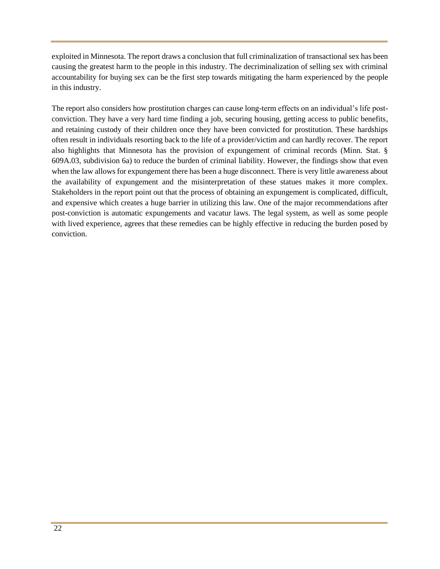exploited in Minnesota. The report draws a conclusion that full criminalization of transactional sex has been causing the greatest harm to the people in this industry. The decriminalization of selling sex with criminal accountability for buying sex can be the first step towards mitigating the harm experienced by the people in this industry.

The report also considers how prostitution charges can cause long-term effects on an individual's life postconviction. They have a very hard time finding a job, securing housing, getting access to public benefits, and retaining custody of their children once they have been convicted for prostitution. These hardships often result in individuals resorting back to the life of a provider/victim and can hardly recover. The report also highlights that Minnesota has the provision of expungement of criminal records (Minn. Stat. § 609A.03, subdivision 6a) to reduce the burden of criminal liability. However, the findings show that even when the law allows for expungement there has been a huge disconnect. There is very little awareness about the availability of expungement and the misinterpretation of these statues makes it more complex. Stakeholders in the report point out that the process of obtaining an expungement is complicated, difficult, and expensive which creates a huge barrier in utilizing this law. One of the major recommendations after post-conviction is automatic expungements and vacatur laws. The legal system, as well as some people with lived experience, agrees that these remedies can be highly effective in reducing the burden posed by conviction.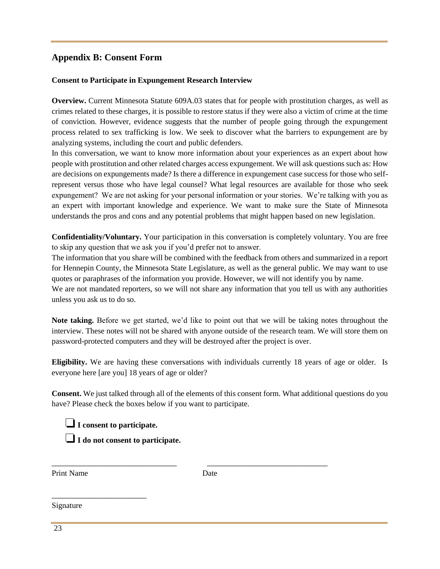## **Appendix B: Consent Form**

#### **Consent to Participate in Expungement Research Interview**

**Overview.** Current Minnesota Statute 609A.03 states that for people with prostitution charges, as well as crimes related to these charges, it is possible to restore status if they were also a victim of crime at the time of conviction. However, evidence suggests that the number of people going through the expungement process related to sex trafficking is low. We seek to discover what the barriers to expungement are by analyzing systems, including the court and public defenders.

In this conversation, we want to know more information about your experiences as an expert about how people with prostitution and other related charges access expungement. We will ask questions such as: How are decisions on expungements made? Is there a difference in expungement case success for those who selfrepresent versus those who have legal counsel? What legal resources are available for those who seek expungement? We are not asking for your personal information or your stories. We're talking with you as an expert with important knowledge and experience. We want to make sure the State of Minnesota understands the pros and cons and any potential problems that might happen based on new legislation.

**Confidentiality/Voluntary.** Your participation in this conversation is completely voluntary. You are free to skip any question that we ask you if you'd prefer not to answer.

The information that you share will be combined with the feedback from others and summarized in a report for Hennepin County, the Minnesota State Legislature, as well as the general public. We may want to use quotes or paraphrases of the information you provide. However, we will not identify you by name.

We are not mandated reporters, so we will not share any information that you tell us with any authorities unless you ask us to do so.

**Note taking.** Before we get started, we'd like to point out that we will be taking notes throughout the interview. These notes will not be shared with anyone outside of the research team. We will store them on password-protected computers and they will be destroyed after the project is over.

**Eligibility.** We are having these conversations with individuals currently 18 years of age or older. Is everyone here [are you] 18 years of age or older?

**Consent.** We just talked through all of the elements of this consent form. What additional questions do you have? Please check the boxes below if you want to participate.

❏**I consent to participate.**  ❏**I do not consent to participate.**

Print Name Date

\_\_\_\_\_\_\_\_\_\_\_\_\_\_\_\_\_\_\_\_\_\_

\_\_\_\_\_\_\_\_\_\_\_\_\_\_\_\_\_\_\_\_\_\_\_\_\_\_\_\_\_ \_\_\_\_\_\_\_\_\_\_\_\_\_\_\_\_\_\_\_\_\_\_\_\_\_\_\_\_

Signature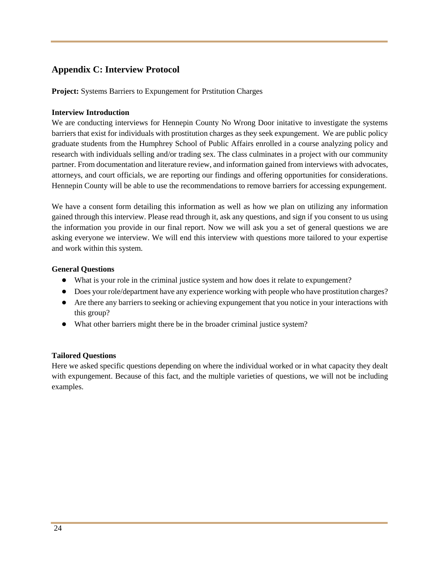# **Appendix C: Interview Protocol**

**Project:** Systems Barriers to Expungement for Prstitution Charges

#### **Interview Introduction**

We are conducting interviews for Hennepin County No Wrong Door initative to investigate the systems barriers that exist for individuals with prostitution charges as they seek expungement. We are public policy graduate students from the Humphrey School of Public Affairs enrolled in a course analyzing policy and research with individuals selling and/or trading sex. The class culminates in a project with our community partner. From documentation and literature review, and information gained from interviews with advocates, attorneys, and court officials, we are reporting our findings and offering opportunities for considerations. Hennepin County will be able to use the recommendations to remove barriers for accessing expungement.

We have a consent form detailing this information as well as how we plan on utilizing any information gained through this interview. Please read through it, ask any questions, and sign if you consent to us using the information you provide in our final report. Now we will ask you a set of general questions we are asking everyone we interview. We will end this interview with questions more tailored to your expertise and work within this system.

#### **General Questions**

- What is your role in the criminal justice system and how does it relate to expungement?
- Does your role/department have any experience working with people who have prostitution charges?
- Are there any barriers to seeking or achieving expungement that you notice in your interactions with this group?
- What other barriers might there be in the broader criminal justice system?

#### **Tailored Questions**

Here we asked specific questions depending on where the individual worked or in what capacity they dealt with expungement. Because of this fact, and the multiple varieties of questions, we will not be including examples.